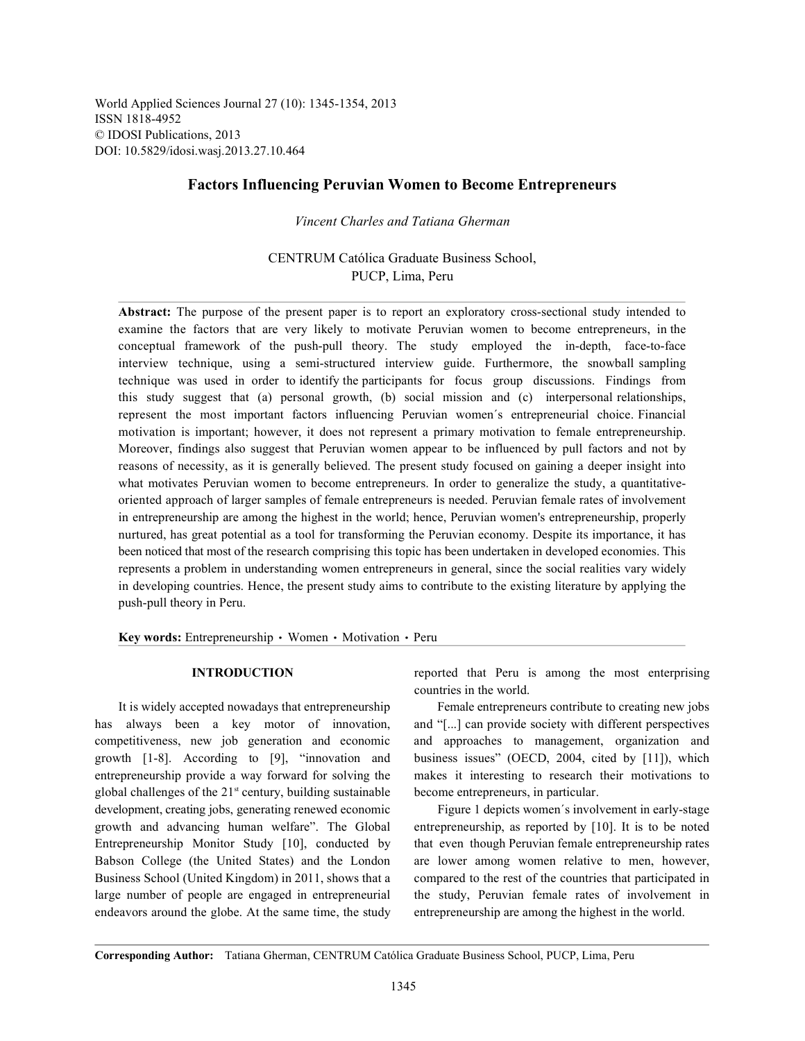World Applied Sciences Journal 27 (10): 1345-1354, 2013 ISSN 1818-4952 © IDOSI Publications, 2013 DOI: 10.5829/idosi.wasj.2013.27.10.464

# **Factors Influencing Peruvian Women to Become Entrepreneurs**

*Vincent Charles and Tatiana Gherman*

CENTRUM Católica Graduate Business School, PUCP, Lima, Peru

Abstract: The purpose of the present paper is to report an exploratory cross-sectional study intended to examine the factors that are very likely to motivate Peruvian women to become entrepreneurs, in the conceptual framework of the push-pull theory. The study employed the in-depth, face-to-face interview technique, using a semi-structured interview guide. Furthermore, the snowball sampling technique was used in order to identify the participants for focus group discussions. Findings from this study suggest that (a) personal growth, (b) social mission and (c) interpersonal relationships, represent the most important factors influencing Peruvian women´s entrepreneurial choice. Financial motivation is important; however, it does not represent a primary motivation to female entrepreneurship. Moreover, findings also suggest that Peruvian women appear to be influenced by pull factors and not by reasons of necessity, as it is generally believed. The present study focused on gaining a deeper insight into what motivates Peruvian women to become entrepreneurs. In order to generalize the study, a quantitativeoriented approach of larger samples of female entrepreneurs is needed. Peruvian female rates of involvement in entrepreneurship are among the highest in the world; hence, Peruvian women's entrepreneurship, properly nurtured, has great potential as a tool for transforming the Peruvian economy. Despite its importance, it has been noticed that most of the research comprising this topic has been undertaken in developed economies. This represents a problem in understanding women entrepreneurs in general, since the social realities vary widely in developing countries. Hence, the present study aims to contribute to the existing literature by applying the push-pull theory in Peru.

Key words: Entrepreneurship · Women · Motivation · Peru

has always been a key motor of innovation, and "[...] can provide society with different perspectives competitiveness, new job generation and economic and approaches to management, organization and growth [1-8]. According to [9], "innovation and business issues" (OECD, 2004, cited by [11]), which entrepreneurship provide a way forward for solving the makes it interesting to research their motivations to global challenges of the  $21<sup>st</sup>$  century, building sustainable become entrepreneurs, in particular. development, creating jobs, generating renewed economic Figure 1 depicts women's involvement in early-stage growth and advancing human welfare". The Global entrepreneurship, as reported by [10]. It is to be noted Entrepreneurship Monitor Study [10], conducted by that even though Peruvian female entrepreneurship rates Babson College (the United States) and the London are lower among women relative to men, however, Business School (United Kingdom) in 2011, shows that a compared to the rest of the countries that participated in large number of people are engaged in entrepreneurial the study, Peruvian female rates of involvement in endeavors around the globe. At the same time, the study entrepreneurship are among the highest in the world.

**INTRODUCTION** reported that Peru is among the most enterprising countries in the world.

It is widely accepted nowadays that entrepreneurship Female entrepreneurs contribute to creating new jobs

**Corresponding Author:** Tatiana Gherman, CENTRUM Católica Graduate Business School, PUCP, Lima, Peru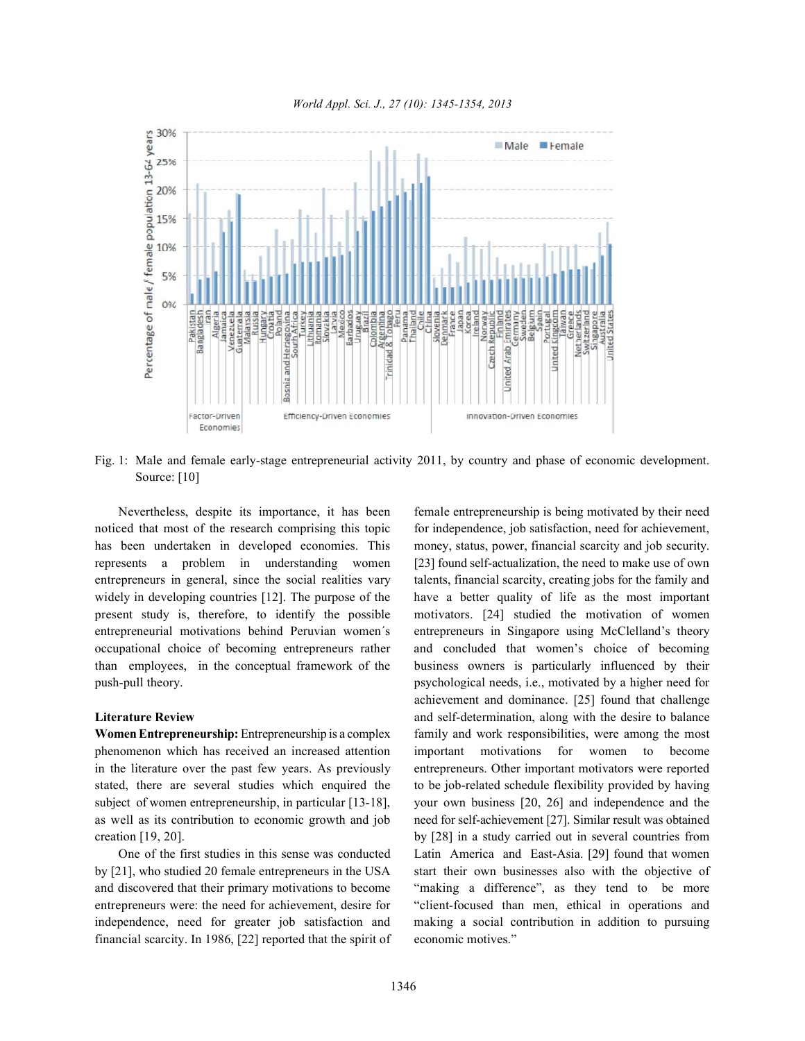



Fig. 1: Male and female early-stage entrepreneurial activity 2011, by country and phase of economic development. Source: [10]

noticed that most of the research comprising this topic for independence, job satisfaction, need for achievement, has been undertaken in developed economies. This money, status, power, financial scarcity and job security. represents a problem in understanding women [23] found self-actualization, the need to make use of own entrepreneurs in general, since the social realities vary talents, financial scarcity, creating jobs for the family and widely in developing countries [12]. The purpose of the have a better quality of life as the most important present study is, therefore, to identify the possible motivators. [24] studied the motivation of women entrepreneurial motivations behind Peruvian women´s entrepreneurs in Singapore using McClelland's theory occupational choice of becoming entrepreneurs rather and concluded that women's choice of becoming than employees, in the conceptual framework of the business owners is particularly influenced by their push-pull theory. psychological needs, i.e., motivated by a higher need for

phenomenon which has received an increased attention important motivations for women to become in the literature over the past few years. As previously entrepreneurs. Other important motivators were reported stated, there are several studies which enquired the to be job-related schedule flexibility provided by having subject of women entrepreneurship, in particular [13-18], your own business [20, 26] and independence and the as well as its contribution to economic growth and job need for self-achievement [27]. Similar result was obtained creation [19, 20]. by [28] in a study carried out in several countries from

entrepreneurs were: the need for achievement, desire for "client-focused than men, ethical in operations and financial scarcity. In 1986, [22] reported that the spirit of economic motives."

Nevertheless, despite its importance, it has been female entrepreneurship is being motivated by their need **Literature Review** and self-determination, along with the desire to balance **Women Entrepreneurship:** Entrepreneurship is a complex family and work responsibilities, were among the most One of the first studies in this sense was conducted Latin America and East-Asia. [29] found that women by [21], who studied 20 female entrepreneurs in the USA start their own businesses also with the objective of and discovered that their primary motivations to become "making a difference", as they tend to be more independence, need for greater job satisfaction and making a social contribution in addition to pursuing achievement and dominance. [25] found that challenge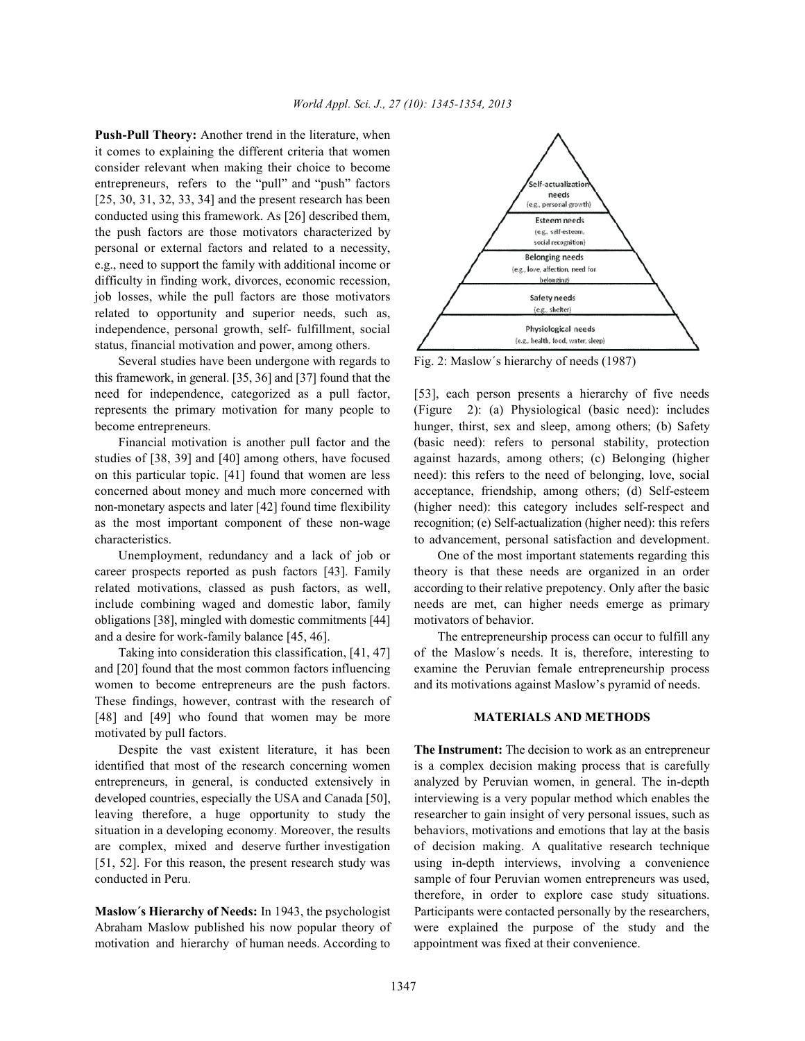**Push-Pull Theory:** Another trend in the literature, when it comes to explaining the different criteria that women consider relevant when making their choice to become entrepreneurs, refers to the "pull" and "push" factors [25, 30, 31, 32, 33, 34] and the present research has been conducted using this framework. As [26] described them, the push factors are those motivators characterized by personal or external factors and related to a necessity, e.g., need to support the family with additional income or difficulty in finding work, divorces, economic recession, job losses, while the pull factors are those motivators related to opportunity and superior needs, such as, independence, personal growth, self- fulfillment, social status, financial motivation and power, among others.

Several studies have been undergone with regards to Fig. 2: Maslow's hierarchy of needs (1987) this framework, in general. [35, 36] and [37] found that the need for independence, categorized as a pull factor, [53], each person presents a hierarchy of five needs represents the primary motivation for many people to (Figure 2): (a) Physiological (basic need): includes become entrepreneurs. hunger, thirst, sex and sleep, among others; (b) Safety

on this particular topic. [41] found that women are less need): this refers to the need of belonging, love, social characteristics. to advancement, personal satisfaction and development.

Unemployment, redundancy and a lack of job or One of the most important statements regarding this obligations [38], mingled with domestic commitments [44] motivators of behavior. and a desire for work-family balance [45, 46]. The entrepreneurship process can occur to fulfill any

and [20] found that the most common factors influencing examine the Peruvian female entrepreneurship process women to become entrepreneurs are the push factors. and its motivations against Maslow's pyramid of needs. These findings, however, contrast with the research of [48] and [49] who found that women may be more **MATERIALS AND METHODS** motivated by pull factors.

identified that most of the research concerning women is a complex decision making process that is carefully entrepreneurs, in general, is conducted extensively in analyzed by Peruvian women, in general. The in-depth developed countries, especially the USA and Canada [50], interviewing is a very popular method which enables the leaving therefore, a huge opportunity to study the researcher to gain insight of very personal issues, such as situation in a developing economy. Moreover, the results behaviors, motivations and emotions that lay at the basis are complex, mixed and deserve further investigation of decision making. A qualitative research technique [51, 52]. For this reason, the present research study was using in-depth interviews, involving a convenience conducted in Peru. sample of four Peruvian women entrepreneurs was used,

Abraham Maslow published his now popular theory of were explained the purpose of the study and the motivation and hierarchy of human needs. According to appointment was fixed at their convenience.



Financial motivation is another pull factor and the (basic need): refers to personal stability, protection studies of [38, 39] and [40] among others, have focused against hazards, among others; (c) Belonging (higher concerned about money and much more concerned with acceptance, friendship, among others; (d) Self-esteem non-monetary aspects and later [42] found time flexibility (higher need): this category includes self-respect and as the most important component of these non-wage recognition; (e) Self-actualization (higher need): this refers

career prospects reported as push factors [43]. Family theory is that these needs are organized in an order related motivations, classed as push factors, as well, according to their relative prepotency. Only after the basic include combining waged and domestic labor, family needs are met, can higher needs emerge as primary

Taking into consideration this classification, [41, 47] of the Maslow's needs. It is, therefore, interesting to

Despite the vast existent literature, it has been **The Instrument:** The decision to work as an entrepreneur **Maslow´s Hierarchy of Needs:** In 1943, the psychologist Participants were contacted personally by the researchers, therefore, in order to explore case study situations.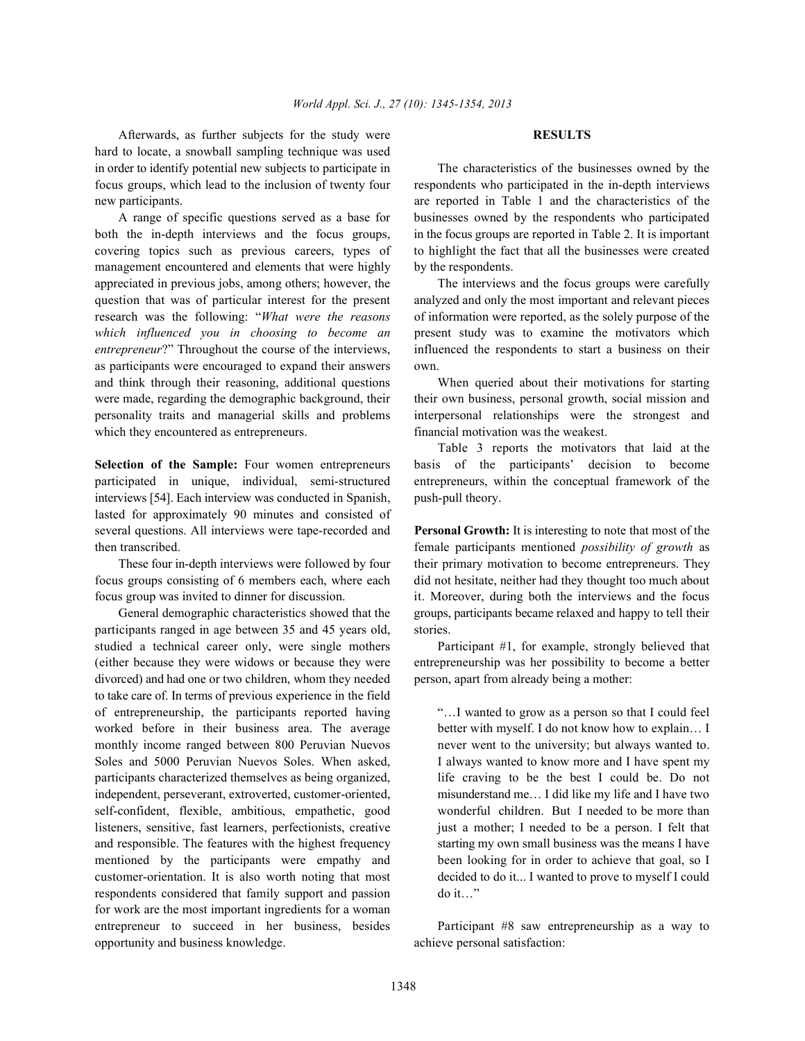Afterwards, as further subjects for the study were **RESULTS** hard to locate, a snowball sampling technique was used in order to identify potential new subjects to participate in The characteristics of the businesses owned by the focus groups, which lead to the inclusion of twenty four respondents who participated in the in-depth interviews

both the in-depth interviews and the focus groups, in the focus groups are reported in Table 2. It is important covering topics such as previous careers, types of to highlight the fact that all the businesses were created management encountered and elements that were highly by the respondents. appreciated in previous jobs, among others; however, the The interviews and the focus groups were carefully question that was of particular interest for the present analyzed and only the most important and relevant pieces research was the following: "*What were the reasons* of information were reported, as the solely purpose of the *which influenced you in choosing to become an* present study was to examine the motivators which *entrepreneur*?" Throughout the course of the interviews, influenced the respondents to start a business on their as participants were encouraged to expand their answers own. and think through their reasoning, additional questions When queried about their motivations for starting were made, regarding the demographic background, their their own business, personal growth, social mission and personality traits and managerial skills and problems interpersonal relationships were the strongest and which they encountered as entrepreneurs. financial motivation was the weakest.

participated in unique, individual, semi-structured entrepreneurs, within the conceptual framework of the interviews [54]. Each interview was conducted in Spanish, push-pull theory. lasted for approximately 90 minutes and consisted of several questions. All interviews were tape-recorded and **Personal Growth:** It is interesting to note that most of the then transcribed. female participants mentioned *possibility of growth* as

focus groups consisting of 6 members each, where each did not hesitate, neither had they thought too much about focus group was invited to dinner for discussion. it. Moreover, during both the interviews and the focus

participants ranged in age between 35 and 45 years old, stories. studied a technical career only, were single mothers Participant #1, for example, strongly believed that (either because they were widows or because they were entrepreneurship was her possibility to become a better divorced) and had one or two children, whom they needed person, apart from already being a mother: to take care of. In terms of previous experience in the field of entrepreneurship, the participants reported having "…I wanted to grow as a person so that I could feel worked before in their business area. The average better with myself. I do not know how to explain... I monthly income ranged between 800 Peruvian Nuevos never went to the university; but always wanted to. Soles and 5000 Peruvian Nuevos Soles. When asked, I always wanted to know more and I have spent my participants characterized themselves as being organized, life craving to be the best I could be. Do not independent, perseverant, extroverted, customer-oriented, misunderstand me… I did like my life and I have two self-confident, flexible, ambitious, empathetic, good wonderful children. But I needed to be more than listeners, sensitive, fast learners, perfectionists, creative just a mother; I needed to be a person. I felt that and responsible. The features with the highest frequency starting my own small business was the means I have mentioned by the participants were empathy and been looking for in order to achieve that goal, so I customer-orientation. It is also worth noting that most decided to do it... I wanted to prove to myself I could respondents considered that family support and passion do it…" for work are the most important ingredients for a woman entrepreneur to succeed in her business, besides Participant #8 saw entrepreneurship as a way to opportunity and business knowledge. achieve personal satisfaction:

new participants. The area reported in Table 1 and the characteristics of the A range of specific questions served as a base for businesses owned by the respondents who participated

**Selection of the Sample:** Four women entrepreneurs basis of the participants' decision to become Table 3 reports the motivators that laid at the

These four in-depth interviews were followed by four their primary motivation to become entrepreneurs. They General demographic characteristics showed that the groups, participants became relaxed and happy to tell their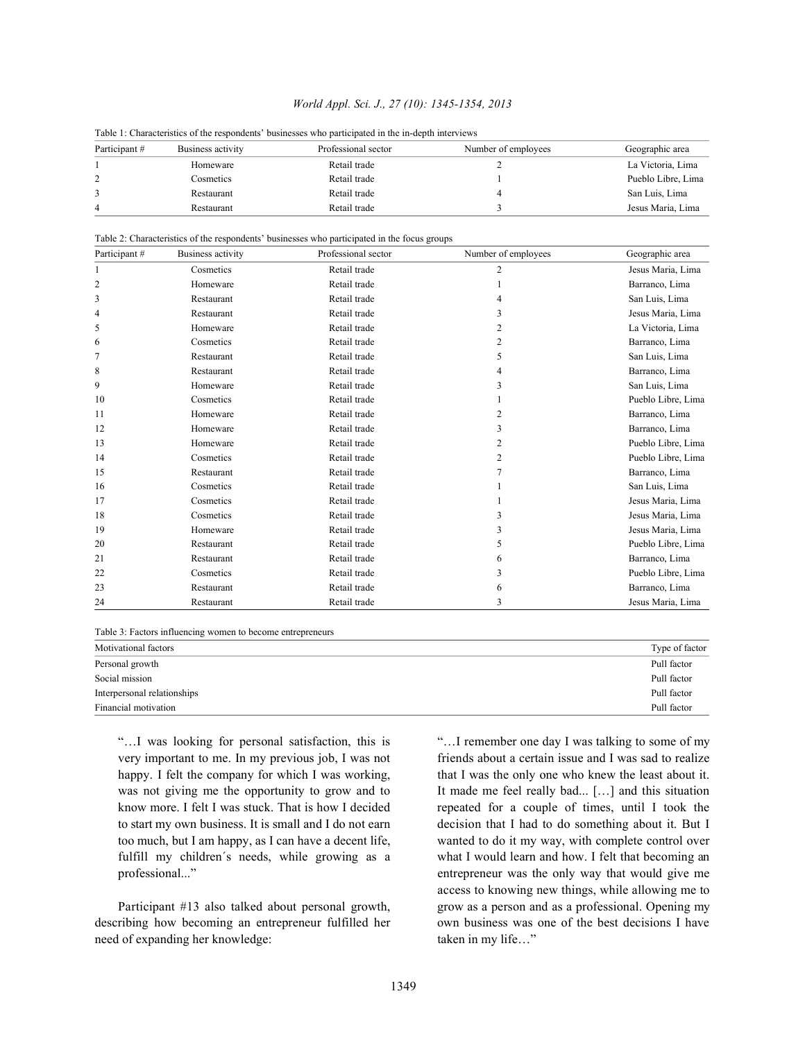### *World Appl. Sci. J., 27 (10): 1345-1354, 2013*

| Table 1. Characteristics of the respondents businesses who participated in the in-depth interviews |                   |                     |                     |                    |  |  |  |
|----------------------------------------------------------------------------------------------------|-------------------|---------------------|---------------------|--------------------|--|--|--|
| Participant#                                                                                       | Business activity | Professional sector | Number of employees | Geographic area    |  |  |  |
|                                                                                                    | Homeware          | Retail trade        |                     | La Victoria, Lima  |  |  |  |
|                                                                                                    | Cosmetics         | Retail trade        |                     | Pueblo Libre, Lima |  |  |  |
|                                                                                                    | Restaurant        | Retail trade        |                     | San Luis, Lima     |  |  |  |
| 4                                                                                                  | Restaurant        | Retail trade        |                     | Jesus Maria, Lima  |  |  |  |

## Table 1: Characteristics of the respondents' businesses who participated in the in-depth interviews

Table 2: Characteristics of the respondents' businesses who participated in the focus groups

| Participant# | <b>Business activity</b> | Professional sector | Number of employees | Geographic area    |
|--------------|--------------------------|---------------------|---------------------|--------------------|
|              | Cosmetics                | Retail trade        | 2                   | Jesus Maria, Lima  |
| 2            | Homeware                 | Retail trade        |                     | Barranco, Lima     |
| 3            | Restaurant               | Retail trade        |                     | San Luis, Lima     |
| 4            | Restaurant               | Retail trade        | 3                   | Jesus Maria, Lima  |
| 5            | Homeware                 | Retail trade        |                     | La Victoria, Lima  |
| 6            | Cosmetics                | Retail trade        |                     | Barranco, Lima     |
| 7            | Restaurant               | Retail trade        | 5                   | San Luis, Lima     |
| 8            | Restaurant               | Retail trade        |                     | Barranco, Lima     |
| 9            | Homeware                 | Retail trade        | 3                   | San Luis, Lima     |
| 10           | Cosmetics                | Retail trade        |                     | Pueblo Libre, Lima |
| 11           | Homeware                 | Retail trade        |                     | Barranco, Lima     |
| 12           | Homeware                 | Retail trade        |                     | Barranco, Lima     |
| 13           | Homeware                 | Retail trade        |                     | Pueblo Libre, Lima |
| 14           | Cosmetics                | Retail trade        |                     | Pueblo Libre, Lima |
| 15           | Restaurant               | Retail trade        |                     | Barranco, Lima     |
| 16           | Cosmetics                | Retail trade        |                     | San Luis, Lima     |
| 17           | Cosmetics                | Retail trade        |                     | Jesus Maria, Lima  |
| 18           | Cosmetics                | Retail trade        | 3                   | Jesus Maria, Lima  |
| 19           | Homeware                 | Retail trade        | 3                   | Jesus Maria, Lima  |
| 20           | Restaurant               | Retail trade        | 5                   | Pueblo Libre, Lima |
| 21           | Restaurant               | Retail trade        | 6                   | Barranco, Lima     |
| 22           | Cosmetics                | Retail trade        | 3                   | Pueblo Libre, Lima |
| 23           | Restaurant               | Retail trade        |                     | Barranco, Lima     |
| 24           | Restaurant               | Retail trade        | 3                   | Jesus Maria, Lima  |

Table 3: Factors influencing women to become entrepreneurs

| Motivational factors        | Type of factor |
|-----------------------------|----------------|
| Personal growth             | Pull factor    |
| Social mission              | Pull factor    |
| Interpersonal relationships | Pull factor    |
| Financial motivation        | Pull factor    |

"…I was looking for personal satisfaction, this is "…I remember one day I was talking to some of my very important to me. In my previous job, I was not friends about a certain issue and I was sad to realize happy. I felt the company for which I was working, that I was the only one who knew the least about it. was not giving me the opportunity to grow and to It made me feel really bad... [...] and this situation know more. I felt I was stuck. That is how I decided repeated for a couple of times, until I took the fulfill my children's needs, while growing as a what I would learn and how. I felt that becoming an professional..." entrepreneur was the only way that would give me

describing how becoming an entrepreneur fulfilled her own business was one of the best decisions I have need of expanding her knowledge: taken in my life..."

to start my own business. It is small and I do not earn decision that I had to do something about it. But I too much, but I am happy, as I can have a decent life, wanted to do it my way, with complete control over Participant #13 also talked about personal growth, grow as a person and as a professional. Opening my access to knowing new things, while allowing me to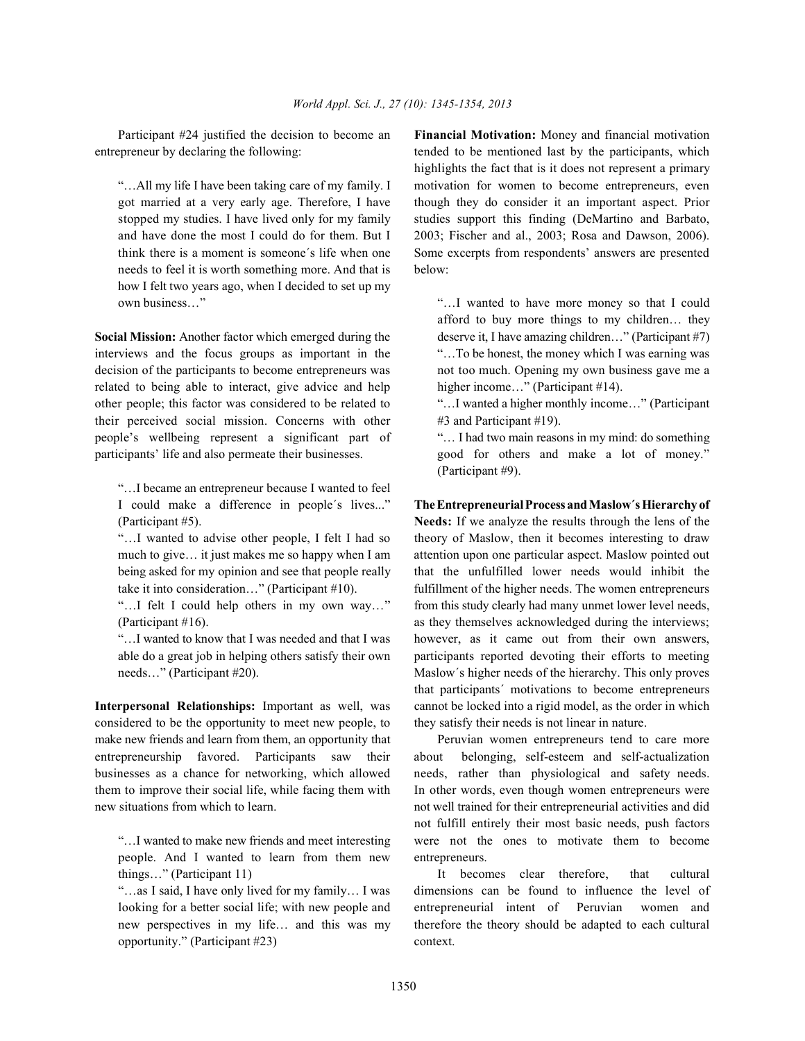entrepreneur by declaring the following: tended to be mentioned last by the participants, which

needs to feel it is worth something more. And that is below: how I felt two years ago, when I decided to set up my own business…" "…I wanted to have more money so that I could

**Social Mission:** Another factor which emerged during the deserve it, I have amazing children…" (Participant #7) interviews and the focus groups as important in the "...To be honest, the money which I was earning was decision of the participants to become entrepreneurs was not too much. Opening my own business gave me a related to being able to interact, give advice and help higher income..." (Participant  $#14$ ). other people; this factor was considered to be related to "…I wanted a higher monthly income…" (Participant their perceived social mission. Concerns with other  $#3$  and Participant  $#19$ . people's wellbeing represent a significant part of "… I had two main reasons in my mind: do something participants' life and also permeate their businesses. good for others and make a lot of money."

"…I became an entrepreneur because I wanted to feel I could make a difference in people´s lives..." **The Entrepreneurial Process andMaslow´s Hierarchy of**

considered to be the opportunity to meet new people, to they satisfy their needs is not linear in nature. make new friends and learn from them, an opportunity that Peruvian women entrepreneurs tend to care more entrepreneurship favored. Participants saw their about belonging, self-esteem and self-actualization businesses as a chance for networking, which allowed needs, rather than physiological and safety needs. them to improve their social life, while facing them with In other words, even though women entrepreneurs were new situations from which to learn. not well trained for their entrepreneurial activities and did

people. And I wanted to learn from them new entrepreneurs. things…" (Participant 11) It becomes clear therefore, that cultural

opportunity." (Participant #23) context.

Participant #24 justified the decision to become an **Financial Motivation:** Money and financial motivation "…All my life I have been taking care of my family. I motivation for women to become entrepreneurs, even got married at a very early age. Therefore, I have though they do consider it an important aspect. Prior stopped my studies. I have lived only for my family studies support this finding (DeMartino and Barbato, and have done the most I could do for them. But I 2003; Fischer and al., 2003; Rosa and Dawson, 2006). think there is a moment is someone´s life when one Some excerpts from respondents' answers are presented highlights the fact that is it does not represent a primary

afford to buy more things to my children… they

(Participant #9).

(Participant #5). **Needs:** If we analyze the results through the lens of the "…I wanted to advise other people, I felt I had so theory of Maslow, then it becomes interesting to draw much to give... it just makes me so happy when I am attention upon one particular aspect. Maslow pointed out being asked for my opinion and see that people really that the unfulfilled lower needs would inhibit the take it into consideration…" (Participant #10). fulfillment of the higher needs. The women entrepreneurs "…I felt I could help others in my own way…" from this study clearly had many unmet lower level needs, (Participant #16). The same of themselves acknowledged during the interviews; "…I wanted to know that I was needed and that I was however, as it came out from their own answers, able do a great job in helping others satisfy their own participants reported devoting their efforts to meeting needs..." (Participant #20). Maslow's higher needs of the hierarchy. This only proves **Interpersonal Relationships:** Important as well, was cannot be locked into a rigid model, as the order in which that participants´ motivations to become entrepreneurs

"…I wanted to make new friends and meet interesting were not the ones to motivate them to become not fulfill entirely their most basic needs, push factors

"…as I said, I have only lived for my family… I was dimensions can be found to influence the level of looking for a better social life; with new people and entrepreneurial intent of Peruvian women and new perspectives in my life… and this was my therefore the theory should be adapted to each cultural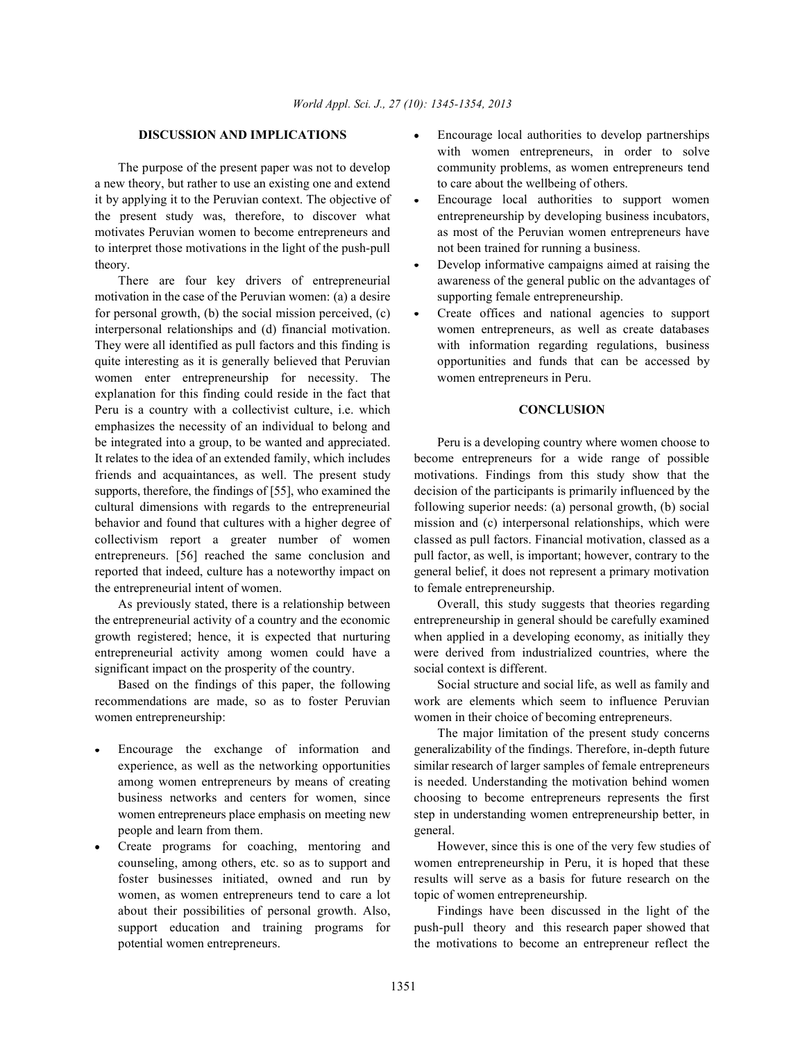a new theory, but rather to use an existing one and extend to care about the wellbeing of others. it by applying it to the Peruvian context. The objective of  $\bullet$  Encourage local authorities to support women the present study was, therefore, to discover what entrepreneurship by developing business incubators, motivates Peruvian women to become entrepreneurs and as most of the Peruvian women entrepreneurs have to interpret those motivations in the light of the push-pull not been trained for running a business. theory. Develop informative campaigns aimed at raising the

motivation in the case of the Peruvian women: (a) a desire supporting female entrepreneurship. for personal growth, (b) the social mission perceived,  $(c)$  • Create offices and national agencies to support interpersonal relationships and (d) financial motivation. women entrepreneurs, as well as create databases They were all identified as pull factors and this finding is with information regarding regulations, business quite interesting as it is generally believed that Peruvian opportunities and funds that can be accessed by women enter entrepreneurship for necessity. The women entrepreneurs in Peru. explanation for this finding could reside in the fact that Peru is a country with a collectivist culture, i.e. which **CONCLUSION** emphasizes the necessity of an individual to belong and be integrated into a group, to be wanted and appreciated. Peru is a developing country where women choose to It relates to the idea of an extended family, which includes become entrepreneurs for a wide range of possible friends and acquaintances, as well. The present study motivations. Findings from this study show that the supports, therefore, the findings of [55], who examined the decision of the participants is primarily influenced by the cultural dimensions with regards to the entrepreneurial following superior needs: (a) personal growth, (b) social behavior and found that cultures with a higher degree of mission and (c) interpersonal relationships, which were collectivism report a greater number of women classed as pull factors. Financial motivation, classed as a entrepreneurs. [56] reached the same conclusion and pull factor, as well, is important; however, contrary to the reported that indeed, culture has a noteworthy impact on general belief, it does not represent a primary motivation the entrepreneurial intent of women. to female entrepreneurship.

the entrepreneurial activity of a country and the economic entrepreneurship in general should be carefully examined growth registered; hence, it is expected that nurturing when applied in a developing economy, as initially they entrepreneurial activity among women could have a were derived from industrialized countries, where the significant impact on the prosperity of the country. social context is different.

recommendations are made, so as to foster Peruvian work are elements which seem to influence Peruvian women entrepreneurship: women in their choice of becoming entrepreneurs.

- people and learn from them. general.
- women, as women entrepreneurs tend to care a lot topic of women entrepreneurship. about their possibilities of personal growth. Also, Findings have been discussed in the light of the
- **DISCUSSION AND IMPLICATIONS** Encourage local authorities to develop partnerships The purpose of the present paper was not to develop community problems, as women entrepreneurs tend with women entrepreneurs, in order to solve
	-
- There are four key drivers of entrepreneurial awareness of the general public on the advantages of
	-

As previously stated, there is a relationship between Overall, this study suggests that theories regarding

Based on the findings of this paper, the following Social structure and social life, as well as family and

Encourage the exchange of information and generalizability of the findings. Therefore, in-depth future experience, as well as the networking opportunities similar research of larger samples of female entrepreneurs among women entrepreneurs by means of creating is needed. Understanding the motivation behind women business networks and centers for women, since choosing to become entrepreneurs represents the first women entrepreneurs place emphasis on meeting new step in understanding women entrepreneurship better, in The major limitation of the present study concerns

Create programs for coaching, mentoring and However, since this is one of the very few studies of counseling, among others, etc. so as to support and women entrepreneurship in Peru, it is hoped that these foster businesses initiated, owned and run by results will serve as a basis for future research on the

support education and training programs for push-pull theory and this research paper showed that potential women entrepreneurs. the motivations to become an entrepreneur reflect the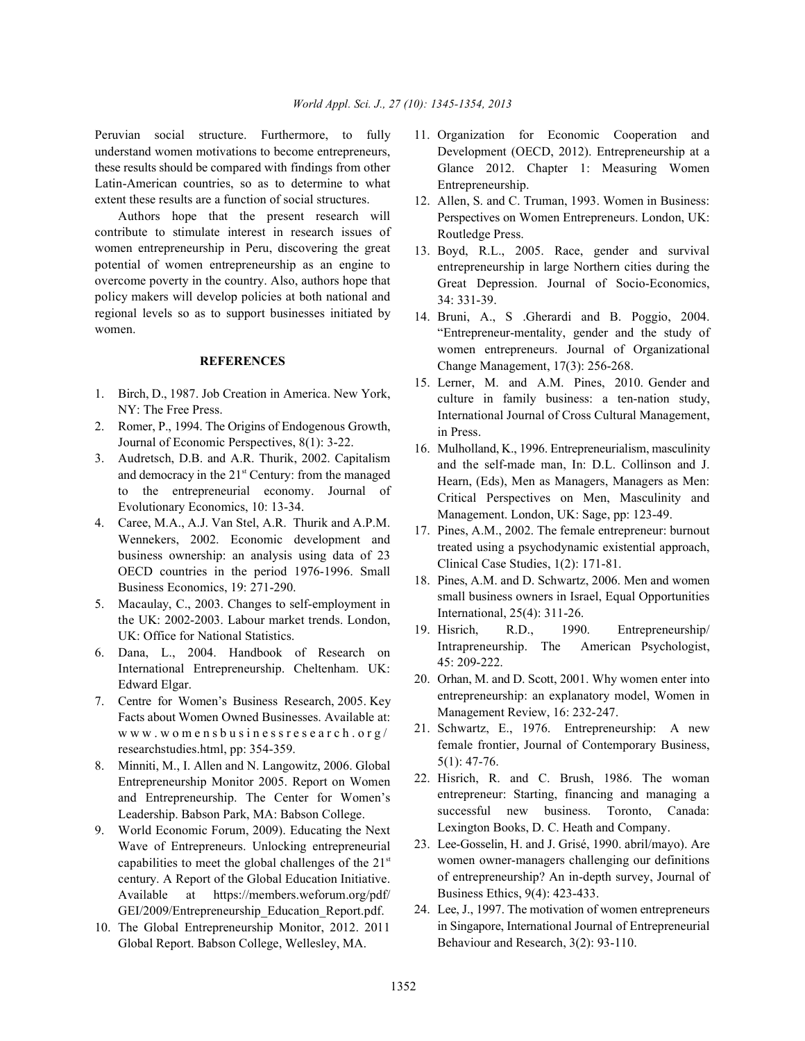understand women motivations to become entrepreneurs, these results should be compared with findings from other Latin-American countries, so as to determine to what extent these results are a function of social structures.

Authors hope that the present research will contribute to stimulate interest in research issues of women entrepreneurship in Peru, discovering the great potential of women entrepreneurship as an engine to overcome poverty in the country. Also, authors hope that policy makers will develop policies at both national and regional levels so as to support businesses initiated by women.

### **REFERENCES**

- 1. Birch, D., 1987. Job Creation in America. New York, NY: The Free Press.
- 2. Romer, P., 1994. The Origins of Endogenous Growth, Journal of Economic Perspectives, 8(1): 3-22.
- 3. Audretsch, D.B. and A.R. Thurik, 2002. Capitalism and democracy in the  $21<sup>st</sup>$  Century: from the managed to the entrepreneurial economy. Journal of Evolutionary Economics, 10: 13-34.
- 4. Caree, M.A., A.J. Van Stel, A.R. Thurik and A.P.M. Wennekers, 2002. Economic development and business ownership: an analysis using data of 23 OECD countries in the period 1976-1996. Small Business Economics, 19: 271-290.
- 5. Macaulay, C., 2003. Changes to self-employment in the UK: 2002-2003. Labour market trends. London, UK: Office for National Statistics.
- 6. Dana, L., 2004. Handbook of Research on International Entrepreneurship. Cheltenham. UK: Edward Elgar.
- 7. Centre for Women's Business Research, 2005. Key Facts about Women Owned Businesses. Available at: www.womensbusinessresearch.org/ researchstudies.html, pp: 354-359.
- 8. Minniti, M., I. Allen and N. Langowitz, 2006. Global Entrepreneurship Monitor 2005. Report on Women and Entrepreneurship. The Center for Women's Leadership. Babson Park, MA: Babson College.
- 9. World Economic Forum, 2009). Educating the Next Wave of Entrepreneurs. Unlocking entrepreneurial capabilities to meet the global challenges of the  $21<sup>st</sup>$ century. A Report of the Global Education Initiative. Available at https://members.weforum.org/pdf/ GEI/2009/Entrepreneurship\_Education\_Report.pdf.
- 10. The Global Entrepreneurship Monitor, 2012. 2011 Global Report. Babson College, Wellesley, MA.
- Peruvian social structure. Furthermore, to fully 11. Organization for Economic Cooperation and Development (OECD, 2012). Entrepreneurship at a Glance 2012. Chapter 1: Measuring Women Entrepreneurship.
	- 12. Allen, S. and C. Truman, 1993. Women in Business: Perspectives on Women Entrepreneurs. London, UK: Routledge Press.
	- 13. Boyd, R.L., 2005. Race, gender and survival entrepreneurship in large Northern cities during the Great Depression. Journal of Socio-Economics, 34: 331-39.
	- 14. Bruni, A., S .Gherardi and B. Poggio, 2004. "Entrepreneur-mentality, gender and the study of women entrepreneurs. Journal of Organizational Change Management, 17(3): 256-268.
	- 15. Lerner, M. and A.M. Pines, 2010. Gender and culture in family business: a ten-nation study, International Journal of Cross Cultural Management, in Press.
	- 16. Mulholland, K., 1996. Entrepreneurialism, masculinity and the self-made man, In: D.L. Collinson and J. Hearn, (Eds), Men as Managers, Managers as Men: Critical Perspectives on Men, Masculinity and Management. London, UK: Sage, pp: 123-49.
	- 17. Pines, A.M., 2002. The female entrepreneur: burnout treated using a psychodynamic existential approach, Clinical Case Studies, 1(2): 171-81.
	- 18. Pines, A.M. and D. Schwartz, 2006. Men and women small business owners in Israel, Equal Opportunities International, 25(4): 311-26.
	- 19. Hisrich, R.D., 1990. Entrepreneurship/ Intrapreneurship. The American Psychologist, 45: 209-222.
	- 20. Orhan, M. and D. Scott, 2001. Why women enter into entrepreneurship: an explanatory model, Women in Management Review, 16: 232-247.
	- 21. Schwartz, E., 1976. Entrepreneurship: A new female frontier, Journal of Contemporary Business, 5(1): 47-76.
	- 22. Hisrich, R. and C. Brush, 1986. The woman entrepreneur: Starting, financing and managing a successful new business. Toronto, Canada: Lexington Books, D. C. Heath and Company.
	- 23. Lee-Gosselin, H. and J. Grisé, 1990. abril/mayo). Are women owner-managers challenging our definitions of entrepreneurship? An in-depth survey, Journal of Business Ethics, 9(4): 423-433.
	- 24. Lee, J., 1997. The motivation of women entrepreneurs in Singapore, International Journal of Entrepreneurial Behaviour and Research, 3(2): 93-110.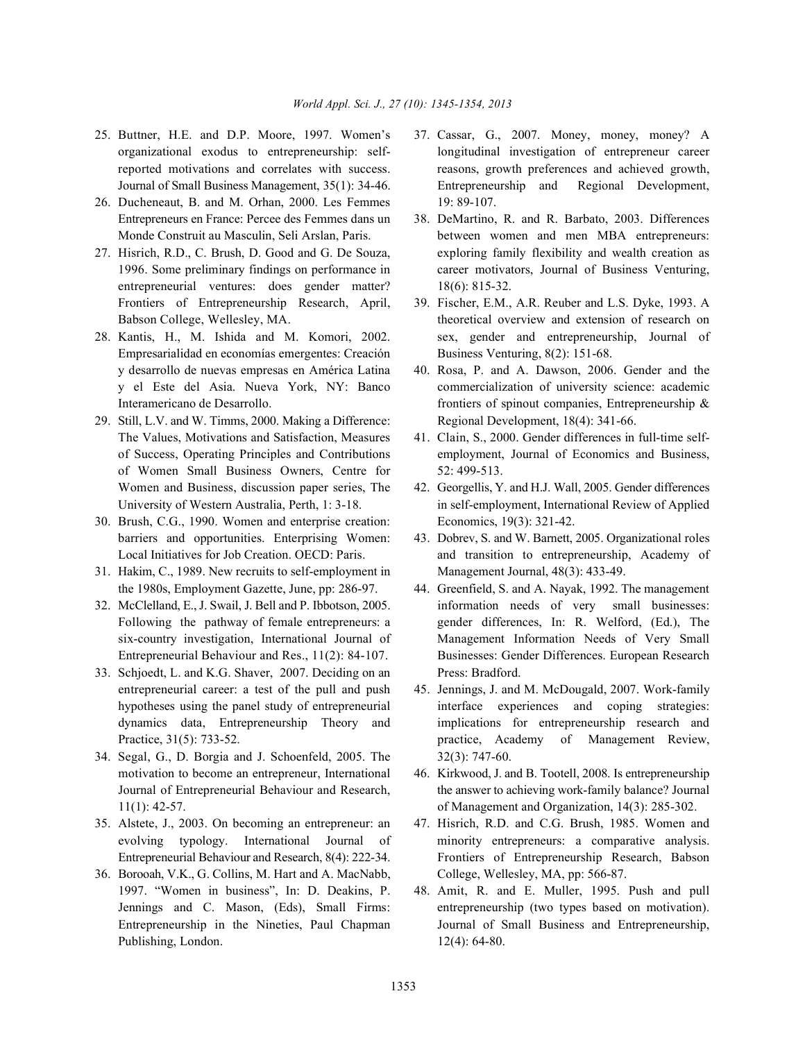- 25. Buttner, H.E. and D.P. Moore, 1997. Women's 37. Cassar, G., 2007. Money, money, money? A
- 26. Ducheneaut, B. and M. Orhan, 2000. Les Femmes 19: 89-107. Entrepreneurs en France: Percee des Femmes dans un 38. DeMartino, R. and R. Barbato, 2003. Differences
- entrepreneurial ventures: does gender matter? 18(6): 815-32. Frontiers of Entrepreneurship Research, April, 39. Fischer, E.M., A.R. Reuber and L.S. Dyke, 1993. A
- Empresarialidad en economías emergentes: Creación Business Venturing, 8(2): 151-68. y desarrollo de nuevas empresas en América Latina 40. Rosa, P. and A. Dawson, 2006. Gender and the
- 29. Still, L.V. and W. Timms, 2000. Making a Difference: Regional Development, 18(4): 341-66. The Values, Motivations and Satisfaction, Measures 41. Clain, S., 2000. Gender differences in full-time selfof Women Small Business Owners, Centre for 52: 499-513.
- 30. Brush, C.G., 1990. Women and enterprise creation: Economics, 19(3): 321-42.
- 31. Hakim, C., 1989. New recruits to self-employment in Management Journal, 48(3): 433-49.
- 
- 33. Schjoedt, L. and K.G. Shaver, 2007. Deciding on an Press: Bradford. entrepreneurial career: a test of the pull and push 45. Jennings, J. and M. McDougald, 2007. Work-family
- 34. Segal, G., D. Borgia and J. Schoenfeld, 2005. The 32(3): 747-60. motivation to become an entrepreneur, International 46. Kirkwood, J. and B. Tootell, 2008. Is entrepreneurship
- 
- 36. Borooah, V.K., G. Collins, M. Hart and A. MacNabb, College, Wellesley, MA, pp: 566-87. 1997. "Women in business", In: D. Deakins, P. 48. Amit, R. and E. Muller, 1995. Push and pull Publishing, London. 12(4): 64-80.
- organizational exodus to entrepreneurship: self- longitudinal investigation of entrepreneur career reported motivations and correlates with success. reasons, growth preferences and achieved growth, Journal of Small Business Management, 35(1): 34-46. Entrepreneurship and Regional Development,
- Monde Construit au Masculin, Seli Arslan, Paris. between women and men MBA entrepreneurs: 27. Hisrich, R.D., C. Brush, D. Good and G. De Souza, exploring family flexibility and wealth creation as 1996. Some preliminary findings on performance in career motivators, Journal of Business Venturing,
- Babson College, Wellesley, MA. theoretical overview and extension of research on 28. Kantis, H., M. Ishida and M. Komori, 2002. sex, gender and entrepreneurship, Journal of
	- y el Este del Asia. Nueva York, NY: Banco commercialization of university science: academic Interamericano de Desarrollo. **frontiers** of spinout companies, Entrepreneurship &
	- of Success, Operating Principles and Contributions employment, Journal of Economics and Business,
	- Women and Business, discussion paper series, The 42. Georgellis, Y. and H.J. Wall, 2005. Gender differences University of Western Australia, Perth, 1: 3-18. in self-employment, International Review of Applied
	- barriers and opportunities. Enterprising Women: 43. Dobrev, S. and W. Barnett, 2005. Organizational roles Local Initiatives for Job Creation. OECD: Paris. and transition to entrepreneurship, Academy of
- the 1980s, Employment Gazette, June, pp: 286-97. 44. Greenfield, S. and A. Nayak, 1992. The management 32. McClelland, E., J. Swail, J. Bell and P. Ibbotson, 2005. information needs of very small businesses: Following the pathway of female entrepreneurs: a gender differences, In: R. Welford, (Ed.), The six-country investigation, International Journal of Management Information Needs of Very Small Entrepreneurial Behaviour and Res., 11(2): 84-107. Businesses: Gender Differences. European Research
	- hypotheses using the panel study of entrepreneurial interface experiences and coping strategies: dynamics data, Entrepreneurship Theory and implications for entrepreneurship research and Practice, 31(5): 733-52. **practice**, Academy of Management Review,
	- Journal of Entrepreneurial Behaviour and Research, the answer to achieving work-family balance? Journal 11(1): 42-57. of Management and Organization, 14(3): 285-302.
- 35. Alstete, J., 2003. On becoming an entrepreneur: an 47. Hisrich, R.D. and C.G. Brush, 1985. Women and evolving typology. International Journal of minority entrepreneurs: a comparative analysis. Entrepreneurial Behaviour and Research, 8(4): 222-34. Frontiers of Entrepreneurship Research, Babson
	- Jennings and C. Mason, (Eds), Small Firms: entrepreneurship (two types based on motivation). Entrepreneurship in the Nineties, Paul Chapman Journal of Small Business and Entrepreneurship,